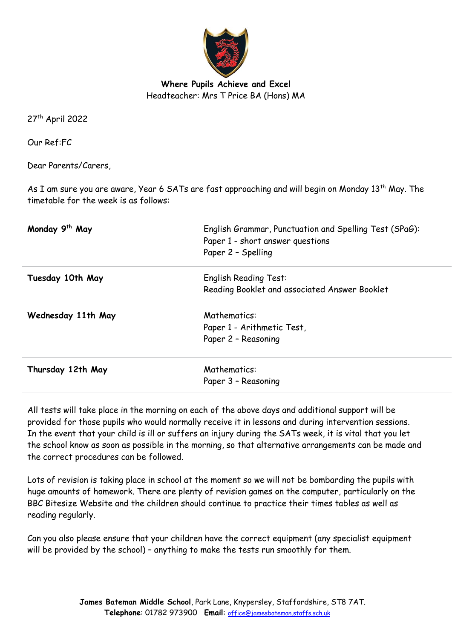

**Where Pupils Achieve and Excel** Headteacher: Mrs T Price BA (Hons) MA

27th April 2022

Our Ref:FC

Dear Parents/Carers,

As I am sure you are aware, Year 6 SATs are fast approaching and will begin on Monday 13<sup>th</sup> May. The timetable for the week is as follows:

| Monday 9 <sup>th</sup> May | English Grammar, Punctuation and Spelling Test (SPaG):<br>Paper 1 - short answer questions<br>Paper 2 - Spelling |
|----------------------------|------------------------------------------------------------------------------------------------------------------|
| Tuesday 10th May           | <b>English Reading Test:</b>                                                                                     |
|                            | Reading Booklet and associated Answer Booklet                                                                    |
| Wednesday 11th May         | Mathematics:                                                                                                     |
|                            | Paper 1 - Arithmetic Test,                                                                                       |
|                            | Paper 2 - Reasoning                                                                                              |
| Thursday 12th May          | Mathematics:                                                                                                     |
|                            | Paper 3 - Reasoning                                                                                              |

All tests will take place in the morning on each of the above days and additional support will be provided for those pupils who would normally receive it in lessons and during intervention sessions. In the event that your child is ill or suffers an injury during the SATs week, it is vital that you let the school know as soon as possible in the morning, so that alternative arrangements can be made and the correct procedures can be followed.

Lots of revision is taking place in school at the moment so we will not be bombarding the pupils with huge amounts of homework. There are plenty of revision games on the computer, particularly on the BBC Bitesize Website and the children should continue to practice their times tables as well as reading regularly.

Can you also please ensure that your children have the correct equipment (any specialist equipment will be provided by the school) – anything to make the tests run smoothly for them.